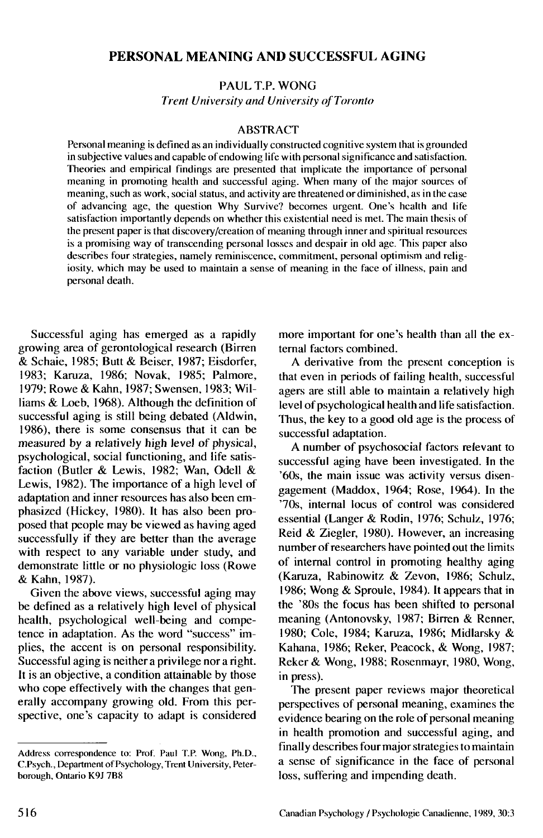# PERSONAL MEANING AND SUCCESSFUL AGING

PAUL T.P. WONG *Trent University and University of Toronto*

### ABSTRACT

Personal meaning is defined as an individually constructed cognitive system that is grounded in subjective values and capable of endowing life with personal significance and satisfaction. Theories and empirical findings are presented that implicate the importance of personal meaning in promoting health and successful aging. When many of the major sources of meaning, such as work, social status, and activity are threatened or diminished, as in the case of advancing age, the question Why Survive? becomes urgent. One's health and life satisfaction importantly depends on whether this existential need is met. The main thesis of the present paper is that discovery /creation of meaning through inner and spiritual resources is a promising way of transcending personal losses and despair in old age. This paper also describes four strategies, namely reminiscence, commitment, personal optimism and religiosity, which may be used to maintain a sense of meaning in the face of illness, pain and personal death.

Successful aging has emerged as a rapidly growing area of gerontological research (Birren & Schaie, 1985; Butt & Beiser, 1987; Eisdorfer, 1983; Karuza, 1986; Novak, 1985; Palmore, 1979; Rowe & Kahn, 1987; Swensen, 1983; Williams & Loeb, 1968). Although the definition of successful aging is still being debated (Aldwin, 1986), there is some consensus that it can be measured by a relatively high level of physical, psychological, social functioning, and life satisfaction (Butler & Lewis, 1982; Wan, Odell & Lewis, 1982). The importance of a high level of adaptation and inner resources has also been emphasized (Hickey, 1980). It has also been proposed that people may be viewed as having aged successfully if they are better than the average with respect to any variable under study, and demonstrate little or no physiologic loss (Rowe & Kahn, 1987).

Given the above views, successful aging may be defined as a relatively high level of physical health, psychological well-being and competence in adaptation. As the word "success" implies, the accent is on personal responsibility. Successful aging is neither a privilege nor a right. It is an objective, a condition attainable by those who cope effectively with the changes that generally accompany growing old. From this perspective, one's capacity to adapt is considered more important for one's health than all the external factors combined.

A derivative from the present conception is that even in periods of failing health, successful agers are still able to maintain a relatively high level of psychological health and life satisfaction. Thus, the key to a good old age is the process of successful adaptation.

A number of psychosocial factors relevant to successful aging have been investigated. In the '60s, the main issue was activity versus disengagement (Maddox, 1964; Rose, 1964). In the '70s, internal locus of control was considered essential (Langer & Rodin, 1976; Schulz, 1976; Reid & Ziegler, 1980). However, an increasing number of researchers have pointed out the limits of internal control in promoting healthy aging (Karuza, Rabinowitz & Zevon, 1986; Schulz, 1986; Wong & Sproule, 1984). It appears that in the '80s the focus has been shifted to personal meaning (Antonovsky, 1987; Birren & Renner, 1980; Cole, 1984; Karuza, 1986; Midlarsky & Kahana, 1986; Reker, Peacock, & Wong, 1987; Reker& Wong, 1988; Rosenmayr, 1980, Wong, in press).

The present paper reviews major theoretical perspectives of personal meaning, examines the evidence bearing on the role of personal meaning in health promotion and successful aging, and finally describes four major strategies to maintain a sense of significance in the face of personal loss, suffering and impending death.

Address correspondence to: Prof. Paul T.P. Wong, Ph.D., C.Psych., Department of Psychology, Trent University, Peterborough, Ontario K9J 7B8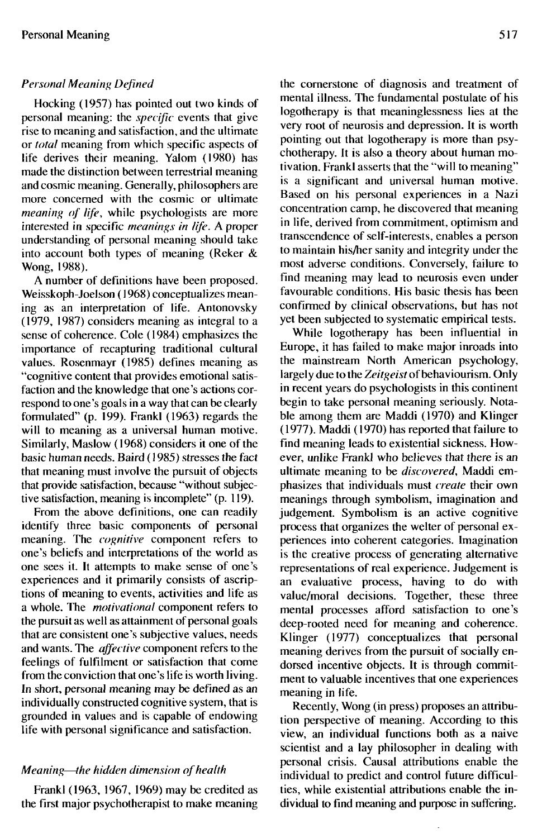## *Personal Meaning Defined*

Hocking (1957) has pointed out two kinds of personal meaning: the *specific* events that give rise to meaning and satisfaction, and the ultimate or *total* meaning from which specific aspects of life derives their meaning. Yalom (1980) has made the distinction between terrestrial meaning and cosmic meaning. Generally, philosophers are more concerned with the cosmic or ultimate *meaning of life,* while psychologists are more interested in specific *meanings in life. A* proper understanding of personal meaning should take into account both types of meaning (Reker & Wong, 1988).

A number of definitions have been proposed. Weisskoph-Joelson (1968) conceptualizes meaning as an interpretation of life. Antonovsky (1979, 1987) considers meaning as integral to a sense of coherence. Cole (1984) emphasizes the importance of recapturing traditional cultural values. Rosenmayr (1985) defines meaning as "cognitive content that provides emotional satisfaction and the knowledge that one's actions correspond to one's goals in a way that can be clearly formulated" (p. 199). Frankl (1963) regards the will to meaning as a universal human motive. Similarly, Maslow (1968) considers it one of the basic human needs. Baird (1985) stresses the fact that meaning must involve the pursuit of objects that provide satisfaction, because "without subjective satisfaction, meaning is incomplete" (p. 119).

From the above definitions, one can readily identify three basic components of personal meaning. The *cognitive* component refers to one's beliefs and interpretations of the world as one sees it. It attempts to make sense of one's experiences and it primarily consists of ascriptions of meaning to events, activities and life as a whole. The *motivational* component refers to the pursuit as well as attainment of personal goals that are consistent one's subjective values, needs and wants. The *affective* component refers to the feelings of fulfilment or satisfaction that come from the conviction that one's life is worth living. In short, personal meaning may be defined as an individually constructed cognitive system, that is grounded in values and is capable of endowing life with personal significance and satisfaction.

### *Meaning*—*the hidden dimension of health*

Frankl (1963, 1967, 1969) may be credited as the first major psychotherapist to make meaning the cornerstone of diagnosis and treatment of mental illness. The fundamental postulate of his logotherapy is that meaninglessness lies at the very root of neurosis and depression. It is worth pointing out that logotherapy is more than psychotherapy. It is also a theory about human motivation. Frankl asserts that the "will to meaning" is a significant and universal human motive. Based on his personal experiences in a Nazi concentration camp, he discovered that meaning in life, derived from commitment, optimism and transcendence of self-interests, enables a person to maintain his/her sanity and integrity under the most adverse conditions. Conversely, failure to find meaning may lead to neurosis even under favourable conditions. His basic thesis has been confirmed by clinical observations, but has not yet been subjected to systematic empirical tests.

While logotherapy has been influential in Europe, it has failed to make major inroads into the mainstream North American psychology, largely due to the *Zeitgeist* of behaviourism. Only in recent years do psychologists in this continent begin to take personal meaning seriously. Notable among them are Maddi (1970) and Klinger (1977). Maddi (1970) has reported that failure to find meaning leads to existential sickness. However, unlike Frankl who believes that there is an ultimate meaning to be *discovered,* Maddi emphasizes that individuals must *create* their own meanings through symbolism, imagination and judgement. Symbolism is an active cognitive process that organizes the welter of personal experiences into coherent categories. Imagination is the creative process of generating alternative representations of real experience. Judgement is an evaluative process, having to do with value/moral decisions. Together, these three mental processes afford satisfaction to one's deep-rooted need for meaning and coherence. Klinger (1977) conceptualizes that personal meaning derives from the pursuit of socially endorsed incentive objects. It is through commitment to valuable incentives that one experiences meaning in life.

Recently, Wong (in press) proposes an attribution perspective of meaning. According to this view, an individual functions both as a naive scientist and a lay philosopher in dealing with personal crisis. Causal attributions enable the individual to predict and control future difficulties, while existential attributions enable the individual to find meaning and purpose in suffering.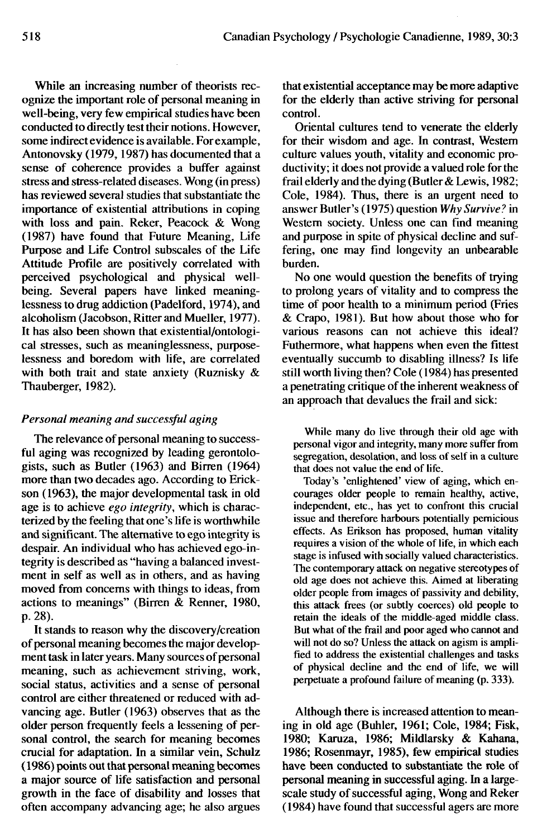While an increasing number of theorists recognize the important role of personal meaning in well-being, very few empirical studies have been conducted to directly test their notions. However, some indirect evidence is available. For example, Antonovsky (1979,1987) has documented that a sense of coherence provides a buffer against stress and stress-related diseases. Wong (in press) has reviewed several studies that substantiate the importance of existential attributions in coping with loss and pain. Reker, Peacock & Wong (1987) have found that Future Meaning, Life Purpose and Life Control subscales of the Life Attitude Profile are positively correlated with perceived psychological and physical wellbeing. Several papers have linked meaninglessness to drug addiction (Padelford, 1974), and alcoholism (Jacobson, Ritter and Mueller, 1977). It has also been shown that existential/ontological stresses, such as meaninglessness, purposelessness and boredom with life, are correlated with both trait and state anxiety (Ruznisky & Thauberger, 1982).

#### *Personal meaning and successful aging*

The relevance of personal meaning to successful aging was recognized by leading gerontologists, such as Butler (1963) and Birren (1964) more than two decades ago. According to Erickson (1963), the major developmental task in old age is to achieve *ego integrity,* which is characterized by the feeling that one's life is worthwhile and significant. The alternative to ego integrity is despair. An individual who has achieved ego-integrity is described as "having a balanced investment in self as well as in others, and as having moved from concerns with things to ideas, from actions to meanings" (Birren & Renner, 1980, p. 28).

It stands to reason why the discovery/creation of personal meaning becomes the major development task in later years. Many sources of personal meaning, such as achievement striving, work, social status, activities and a sense of personal control are either threatened or reduced with advancing age. Butler (1963) observes that as the older person frequently feels a lessening of personal control, the search for meaning becomes crucial for adaptation. In a similar vein, Schulz (1986) points out that personal meaning becomes a major source of life satisfaction and personal growth in the face of disability and losses that often accompany advancing age; he also argues that existential acceptance may be more adaptive for the elderly than active striving for personal control.

Oriental cultures tend to venerate the elderly for their wisdom and age. In contrast, Western culture values youth, vitality and economic productivity; it does not provide a valued role for the frail elderly and the dying (Butler & Lewis, 1982; Cole, 1984). Thus, there is an urgent need to answer Butler's (1975) question *Why Survive?* in Western society. Unless one can find meaning and purpose in spite of physical decline and suffering, one may find longevity an unbearable burden.

No one would question the benefits of trying to prolong years of vitality and to compress the time of poor health to a minimum period (Fries & Crapo, 1981). But how about those who for various reasons can not achieve this ideal? Futhermore, what happens when even the fittest eventually succumb to disabling illness? Is life still worth living then? Cole (1984) has presented a penetrating critique of the inherent weakness of an approach that devalues the frail and sick:

While many do live through their old age with personal vigor and integrity, many more suffer from segregation, desolation, and loss of self in a culture that does not value the end of life.

Today's 'enlightened' view of aging, which encourages older people to remain healthy, active, independent, etc., has yet to confront this crucial issue and therefore harbours potentially pernicious effects. As Erikson has proposed, human vitality requires a vision of the whole of life, in which each stage is infused with socially valued characteristics. The contemporary attack on negative stereotypes of old age does not achieve this. Aimed at liberating older people from images of passivity and debility, this attack frees (or subtly coerces) old people to retain the ideals of the middle-aged middle class. But what of the frail and poor aged who cannot and will not do so? Unless the attack on agism is amplified to address the existential challenges and tasks of physical decline and the end of life, we will perpetuate a profound failure of meaning (p. 333).

Although there is increased attention to meaning in old age (Buhler, 1961; Cole, 1984; Fisk, 1980; Karuza, 1986; Mildlarsky & Kahana, 1986; Rosenmayr, 1985), few empirical studies have been conducted to substantiate the role of personal meaning in successful aging. In a largescale study of successful aging, Wong and Reker (1984) have found that successful agers are more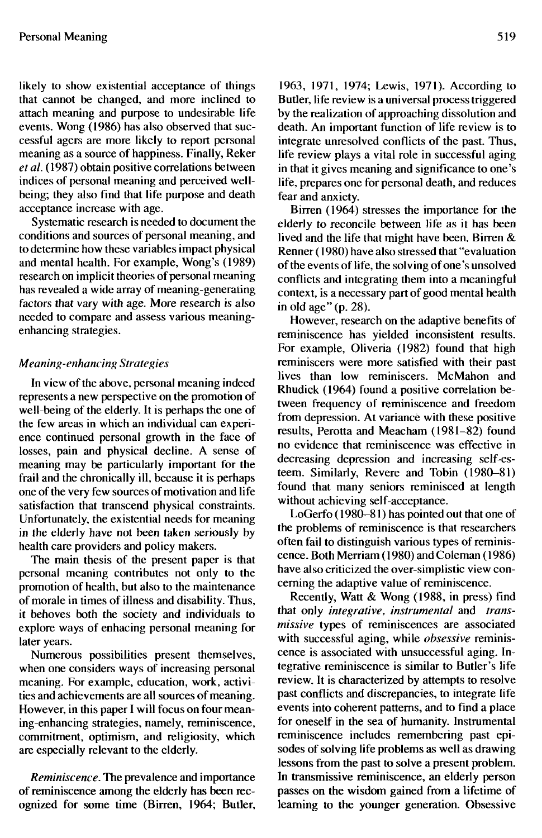likely to show existential acceptance of things that cannot be changed, and more inclined to attach meaning and purpose to undesirable life events. Wong (1986) has also observed that successful agers are more likely to report personal meaning as a source of happiness. Finally, Reker *et al.* (1987) obtain positive correlations between indices of personal meaning and perceived wellbeing; they also find that life purpose and death acceptance increase with age.

Systematic research is needed to document the conditions and sources of personal meaning, and to determine how these variables impact physical and mental health. For example, Wong's (1989) research on implicit theories of personal meaning has revealed a wide array of meaning-generating factors that vary with age. More research is also needed to compare and assess various meaningenhancing strategies.

## *Meaning-enhancing Strategies*

In view of the above, personal meaning indeed represents a new perspective on the promotion of well-being of the elderly. It is perhaps the one of the few areas in which an individual can experience continued personal growth in the face of losses, pain and physical decline. A sense of meaning may be particularly important for the frail and the chronically ill, because it is perhaps one of the very few sources of motivation and life satisfaction that transcend physical constraints. Unfortunately, the existential needs for meaning in the elderly have not been taken seriously by health care providers and policy makers.

The main thesis of the present paper is that personal meaning contributes not only to the promotion of health, but also to the maintenance of morale in times of illness and disability. Thus, it behoves both the society and individuals to explore ways of enhacing personal meaning for later years.

Numerous possibilities present themselves, when one considers ways of increasing personal meaning. For example, education, work, activities and achievements are all sources of meaning. However, in this paper I will focus on four meaning-enhancing strategies, namely, reminiscence, commitment, optimism, and religiosity, which are especially relevant to the elderly.

*Reminiscence.* The prevalence and importance of reminiscence among the elderly has been recognized for some time (Birren, 1964; Butler, 1963, 1971, 1974; Lewis, 1971). According to Butler, life review is a universal process triggered by the realization of approaching dissolution and death. An important function of life review is to integrate unresolved conflicts of the past. Thus, life review plays a vital role in successful aging in that it gives meaning and significance to one's life, prepares one for personal death, and reduces fear and anxiety.

Birren (1964) stresses the importance for the elderly to reconcile between life as it has been lived and the life that might have been. Birren & Renner (1980) have also stressed that "evaluation of the events of life, the solving of one's unsolved conflicts and integrating them into a meaningful context, is a necessary part of good mental health in old age" (p. 28).

However, research on the adaptive benefits of reminiscence has yielded inconsistent results. For example, Oliveria (1982) found that high reminiscers were more satisfied with their past lives than low reminiscers. McMahon and Rhudick (1964) found a positive correlation between frequency of reminiscence and freedom from depression. At variance with these positive results, Perotta and Meacham (1981-82) found no evidence that reminiscence was effective in decreasing depression and increasing self-esteem. Similarly, Revere and Tobin (1980-81) found that many seniors reminisced at length without achieving self-acceptance.

LoGerfo (1980-81) has pointed out that one of the problems of reminiscence is that researchers often fail to distinguish various types of reminiscence. Both Merriam (1980) and Coleman (1986) have also criticized the over-simplistic view concerning the adaptive value of reminiscence.

Recently, Watt & Wong (1988, in press) find that only *integrative, instrumental* and *transmissive* types of reminiscences are associated with successful aging, while *obsessive* reminiscence is associated with unsuccessful aging. Integrative reminiscence is similar to Butler's life review. It is characterized by attempts to resolve past conflicts and discrepancies, to integrate life events into coherent patterns, and to find a place for oneself in the sea of humanity. Instrumental reminiscence includes remembering past episodes of solving life problems as well as drawing lessons from the past to solve a present problem. In transmissive reminiscence, an elderly person passes on the wisdom gained from a lifetime of learning to the younger generation. Obsessive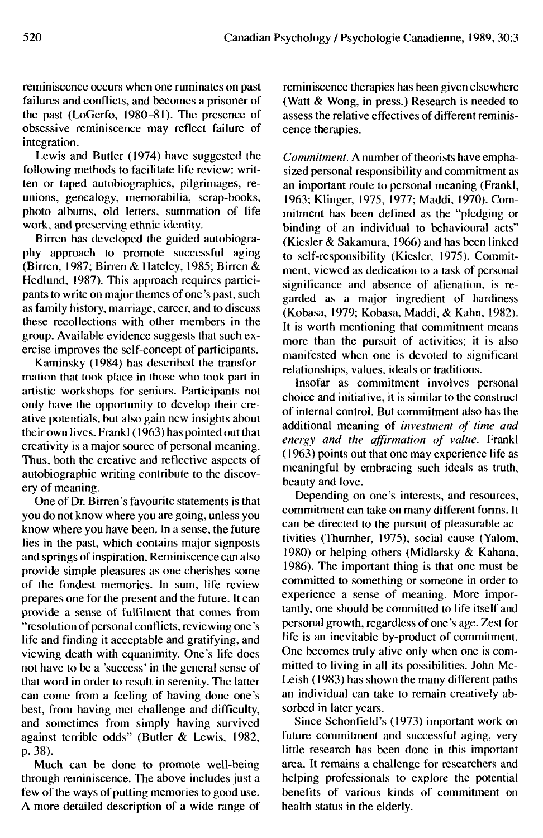reminiscence occurs when one ruminates on past failures and conflicts, and becomes a prisoner of the past (LoGerfo, 1980-81). The presence of obsessive reminiscence may reflect failure of integration.

Lewis and Butler (1974) have suggested the following methods to facilitate life review: written or taped autobiographies, pilgrimages, reunions, genealogy, memorabilia, scrap-books, photo albums, old letters, summation of life work, and preserving ethnic identity.

Birren has developed the guided autobiography approach to promote successful aging (Birren, 1987; Birren & Hateley, 1985; Birren & Hedlund, 1987). This approach requires participants to write on major themes of one's past, such as family history, marriage, career, and to discuss these recollections with other members in the group. Available evidence suggests that such exercise improves the self-concept of participants.

Kaminsky (1984) has described the transformation that took place in those who took part in artistic workshops for seniors. Participants not only have the opportunity to develop their creative potentials, but also gain new insights about their own lives. Frankl( 1963) has pointed out that creativity is a major source of personal meaning. Thus, both the creative and reflective aspects of autobiographic writing contribute to the discovery of meaning.

One of Dr. Birren's favourite statements is that you do not know where you are going, unless you know where you have been. In a sense, the future lies in the past, which contains major signposts and springs of inspiration. Reminiscence can also provide simple pleasures as one cherishes some of the fondest memories. In sum, life review prepares one for the present and the future. It can provide a sense of fulfilment that comes from "resolution of personal conflicts, reviewing one's life and finding it acceptable and gratifying, and viewing death with equanimity. One's life does not have to be a 'success' in the general sense of that word in order to result in serenity. The latter can come from a feeling of having done one's best, from having met challenge and difficulty, and sometimes from simply having survived against terrible odds" (Butler & Lewis, 1982, p. 38).

Much can be done to promote well-being through reminiscence. The above includes just a few of the ways of putting memories to good use. A more detailed description of a wide range of reminiscence therapies has been given elsewhere (Watt & Wong, in press.) Research is needed to assess the relative effectives of different reminiscence therapies.

*Commitment.* A number of theorists have emphasized personal responsibility and commitment as an important route to personal meaning (Frankl, 1963; Klinger, 1975, 1977; Maddi, 1970). Commitment has been defined as the "pledging or binding of an individual to behavioural acts" (Kiesler & Sakamura, 1966) and has been linked to self-responsibility (Kiesler, 1975). Commitment, viewed as dedication to a task of personal significance and absence of alienation, is regarded as a major ingredient of hardiness (Kobasa, 1979; Kobasa, Maddi, & Kahn, 1982). It is worth mentioning that commitment means more than the pursuit of activities; it is also manifested when one is devoted to significant relationships, values, ideals or traditions.

Insofar as commitment involves personal choice and initiative, it is similar to the construct of internal control. But commitment also has the additional meaning of *investment of time and energy and the affirmation of value.* Frankl (1963) points out that one may experience life as meaningful by embracing such ideals as truth, beauty and love.

Depending on one's interests, and resources, commitment can take on many different forms. It can be directed to the pursuit of pleasurable activities (Thurnher, 1975), social cause (Yalom, 1980) or helping others (Midlarsky & Kahana, 1986). The important thing is that one must be committed to something or someone in order to experience a sense of meaning. More importantly, one should be committed to life itself and personal growth, regardless of one's age. Zest for life is an inevitable by-product of commitment. One becomes truly alive only when one is committed to living in all its possibilities. John Mc-Leish (1983) has shown the many different paths an individual can take to remain creatively absorbed in later years.

Since Schonfield's (1973) important work on future commitment and successful aging, very little research has been done in this important area. It remains a challenge for researchers and helping professionals to explore the potential benefits of various kinds of commitment on health status in the elderly.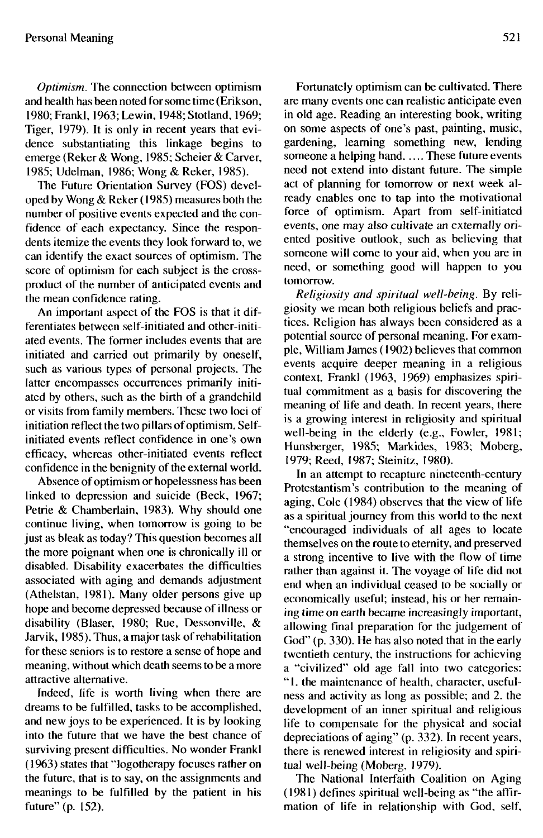*Optimism.* The connection between optimism and health has been noted for some time (Erikson, 1980; Frankl, 1963; Lewin, 1948; Stotland, 1969; Tiger, 1979). It is only in recent years that evidence substantiating this linkage begins to emerge (Reker & Wong, 1985; Scheier & Carver, 1985; Udelman, 1986; Wong & Reker, 1985).

The Future Orientation Survey (FOS) developed by Wong & Reker (1985) measures both the number of positive events expected and the confidence of each expectancy. Since the respondents itemize the events they look forward to, we can identify the exact sources of optimism. The score of optimism for each subject is the crossproduct of the number of anticipated events and the mean confidence rating.

An important aspect of the FOS is that it differentiates between self-initiated and other-initiated events. The former includes events that are initiated and carried out primarily by oneself, such as various types of personal projects. The latter encompasses occurrences primarily initiated by others, such as the birth of a grandchild or visits from family members. These two loci of initiation reflect the two pillars of optimism. Selfinitiated events reflect confidence in one's own efficacy, whereas other-initiated events reflect confidence in the benignity of the external world.

Absence of optimism or hopelessness has been linked to depression and suicide (Beck, 1967; Petrie & Chamberlain, 1983). Why should one continue living, when tomorrow is going to be just as bleak as today? This question becomes all the more poignant when one is chronically ill or disabled. Disability exacerbates the difficulties associated with aging and demands adjustment (Athelstan, 1981). Many older persons give up hope and become depressed because of illness or disability (Blaser, 1980; Rue, Dessonville, & Jarvik, 1985). Thus, a major task of rehabilitation for these seniors is to restore a sense of hope and meaning, without which death seems to be a more attractive alternative.

Indeed, life is worth living when there are dreams to be fulfilled, tasks to be accomplished, and new joys to be experienced. It is by looking into the future that we have the best chance of surviving present difficulties. No wonder Frankl (1963) states that "logotherapy focuses rather on the future, that is to say, on the assignments and meanings to be fulfilled by the patient in his future" (p. 152).

Fortunately optimism can be cultivated. There are many events one can realistic anticipate even in old age. Reading an interesting book, writing on some aspects of one's past, painting, music, gardening, learning something new, lending someone a helping hand. .... These future events need not extend into distant future. The simple act of planning for tomorrow or next week already enables one to tap into the motivational force of optimism. Apart from self-initiated events, one may also cultivate an externally oriented positive outlook, such as believing that someone will come to your aid, when you are in need, or something good will happen to you tomorrow.

*Religiosity and spiritual well-being.* By religiosity we mean both religious beliefs and practices. Religion has always been considered as a potential source of personal meaning. For example, William James (1902) believes that common events acquire deeper meaning in a religious context. Frank! (1963, 1969) emphasizes spiritual commitment as a basis for discovering the meaning of life and death. In recent years, there is a growing interest in religiosity and spiritual well-being in the elderly (e.g.. Fowler, 1981; Hunsberger, 1985; Markides, 1983; Moberg, 1979; Reed, 1987; Steinitz, 1980).

In an attempt to recapture nineteenth-century Protestantism's contribution to the meaning of aging, Cole (1984) observes that the view of life as a spiritual journey from this world to the next "encouraged individuals of all ages to locate themselves on the route to eternity, and preserved a strong incentive to live with the flow of time rather than against it. The voyage of life did not end when an individual ceased to be socially or economically useful; instead, his or her remaining time on earth became increasingly important, allowing final preparation for the judgement of God" (p. 330). He has also noted that in the early twentieth century, the instructions for achieving a "civilized" old age fall into two categories: " 1. the maintenance of health, character, usefulness and activity as long as possible; and 2. the development of an inner spiritual and religious life to compensate for the physical and social depreciations of aging" (p. 332). In recent years, there is renewed interest in religiosity and spiritual well-being (Moberg, 1979).

The National Interfaith Coalition on Aging (1981) defines spiritual well-being as "the affirmation of life in relationship with God, self.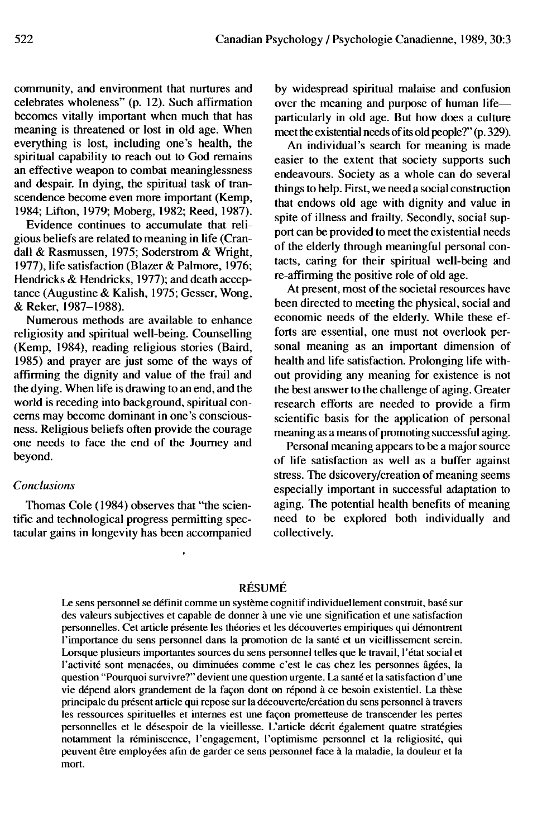community, and environment that nurtures and celebrates wholeness" (p. 12). Such affirmation becomes vitally important when much that has meaning is threatened or lost in old age. When everything is lost, including one's health, the spiritual capability to reach out to God remains an effective weapon to combat meaninglessness and despair. In dying, the spiritual task of transcendence become even more important (Kemp, 1984; Lifton, 1979; Moberg, 1982; Reed, 1987).

Evidence continues to accumulate that religious beliefs are related to meaning in life (Crandall & Rasmussen, 1975; Soderstrom & Wright, 1977), life satisfaction (Blazer & Palmore, 1976; Hendricks & Hendricks, 1977); and death acceptance (Augustine & Kalish, 1975; Gesser, Wong, & Reker, 1987-1988).

Numerous methods are available to enhance religiosity and spiritual well-being. Counselling (Kemp, 1984), reading religious stories (Baird, 1985) and prayer are just some of the ways of affirming the dignity and value of the frail and the dying. When life is drawing to an end, and the world is receding into background, spiritual concerns may become dominant in one's consciousness. Religious beliefs often provide the courage one needs to face the end of the Journey and beyond.

#### *Conclusions*

Thomas Cole (1984) observes that "the scientific and technological progress permitting spectacular gains in longevity has been accompanied by widespread spiritual malaise and confusion over the meaning and purpose of human life particularly in old age. But how does a culture meet the existential needs of its old people?" (p. 329).

An individual's search for meaning is made easier to the extent that society supports such endeavours. Society as a whole can do several things to help. First, we need a social construction that endows old age with dignity and value in spite of illness and frailty. Secondly, social support can be provided to meet the existential needs of the elderly through meaningful personal contacts, caring for their spiritual well-being and re-affirming the positive role of old age.

At present, most of the societal resources have been directed to meeting the physical, social and economic needs of the elderly. While these efforts are essential, one must not overlook personal meaning as an important dimension of health and life satisfaction. Prolonging life without providing any meaning for existence is not the best answer to the challenge of aging. Greater research efforts are needed to provide a firm scientific basis for the application of personal meaning as a means of promoting successful aging.

Personal meaning appears to be a major source of life satisfaction as well as a buffer against stress. The dsicovery/creation of meaning seems especially important in successful adaptation to aging. The potential health benefits of meaning need to be explored both individually and collectively.

## RESUME

Le sens personnel se definit comme un systeme cognitif individuellement construit, base sur des valeurs subjectives et capable de donner a une vie une signification et une satisfaction personnelles. Cet article presente les theories et les decouvertes empiriques qui demontrent 1'importance du sens personnel dans la promotion de la sante et un vieillissement serein. Lorsque plusieurs importantes sources du sens personnel telles que le travail, l'état social et l'activité sont menacées, ou diminuées comme c'est le cas chez les personnes âgées, la question "Pourquoi survivre?" devient une question urgente. La sante et la satisfaction d'une vie depend alors grandement de la facon dont on repond a ce besoin existentiel. La these principale du present article qui repose sur la decouverte/creation du sens personnel a travers les ressources spirituelles et internes est une facon prometteuse de transcender les pertes personnelles et le desespoir de la vieillesse. L'article decrit egalement quatre strategies notamment la reminiscence, 1'engagement, l'optimisme personnel et la religiosite, qui peuvent être employées afin de garder ce sens personnel face à la maladie, la douleur et la mort.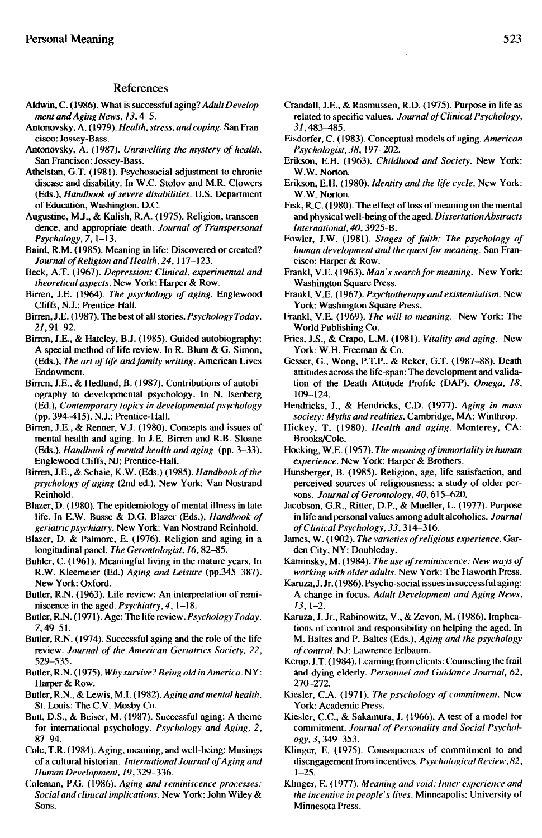#### References

- Aldwin, C. (1986). What is successful aging? *Adult Development and Aging News, 13,*4—5.
- Antonovsky, A. (1979). *Health, stress, and coping.* San Francisco: Jossey-Bass.
- Antonovsky, A. (1987). *Unravelling the mystery of health.* San Francisco: Jossey-Bass.
- Athelstan, G.T. (1981). Psychosocial adjustment to chronic disease and disability. In W.C. Stolov and M.R. Clowers (Eds.), *Handbook of severe disabilities.* U.S. Department of Education, Washington, D.C.
- Augustine, M.J., & Kalish, R.A. (1975). Religion, transcendence, and appropriate death. Journal of Transpersonal *Psychology, 7,* 1-13.
- Baird, R.M. (1985). Meaning in life: Discovered or created? *Journal of Religion and Health, 24,*117-123.
- Beck, A.T. (1967). *Depression: Clinical, experimental and theoretical aspects.* New York: Harper & Row.
- Birren, J.E. (1964). *The psychology of aging.* Englewood Cliffs, N.J.: Prentice-Hall.
- Birren, J.E. (1987). The best of ail stories. *Psychology Today, 21,91-92.*
- Birren, J.E., & Hateley, B.J. (1985). Guided autobiography: A special method of life review. In R. Blum & G. Simon, (Eds.), *The art of life and family writing.* American Lives Endowment.
- Birren, J.E., & Hedlund, B. (1987). Contributions of autobiography to developmental psychology. In N. Isenberg (Ed.), *Contemporary topics in developmental psychology* (pp. 394-415). N.J.: Prentice-Hall.
- Birren, J.E., & Renner, V.J. (1980). Concepts and issues of mental health and aging. In J.E. Birren and R.B. Sloane (Eds.), *Handbook of mental health and aging* (pp. 3-33). Englewood Cliffs, NJ; Prentice-Hall.
- Birren, J.E., & Schaie, K.W. (Eds.) (1985). *Handbook of the psychology of aging* (2nd ed.), New York: Van Nostrand Reinhold.
- Blazer, D. (1980). The epidemiology of mental illness in late life. In E.W. Busse & D.G. Blazer (Eds.), *Handbook of geriatric psychiatry.* New York: Van Nostrand Reinhold.
- Blazer, D. & Palmore, E. (1976). Religion and aging in a longitudinal panel. *The Gerontologist, 16,*82-85.
- Buhler, C. (1961). Meaningful living in the mature years. In R.W. Kleemeier (Ed.) *Aging and Leisure* (pp.345-387). New York: Oxford.
- Butler, R.N. (1963). Life review: An interpretation of reminiscence in the aged. *Psychiatry, 4,* 1—18.
- Butler, R.N. (1971). Age: The life review. *Psychology Today.* 7,49-51.
- Butler, R.N. (1974). Successful aging and the role of the life review. *Journal of the American Geriatrics Society, 22,* 529-535.
- Butler, R.N. (1975). *Why survive? Being old in America.* NY: Harper & Row.
- Butler, R.N., & Lewis, M.I. (1982). *Aging and mental health.* St. Louis: The C.V. Mosby Co.
- Butt, D.S., & Beiser, M. (1987). Successful aging: A theme for international psychology. *Psychology and Aging, 2,* 87-94.
- Cole, T.R. (1984). Aging, meaning, and well-being: Musings of a cultural historian. *International Journal of Aging and Human Development, 19,*329-336.
- Coleman, P.G. (1986). *Aging and reminiscence processes: Social and clinical implications.* New York: John Wiley & Sons.
- Crandall, J.E., & Rasmussen, R.D. (1975). Purpose in life as related to specific values. *Journal of Clinical Psychology,* 31,483-485.
- Eisdorfer, C. (1983). Conceptual models of aging. *American Psychologist, 38,* 197-202.
- Erikson, E.H. (1963). *Childhood and Society.* New York: W.W. Norton.
- Erikson, E.H. (1980). *Identity and the life cycle.* New York: W.W. Norton.
- Fisk, R.C. (1980). The effect of loss of meaning on the mental and physical well-being of the aged. *Dissertation Abstracts International, 40,* 3925-B.
- Fowler, J.W. (1981). *Stages of faith: The psychology of human development and the quest for meaning.* San Francisco: Harper & Row.
- Frankl, V.E. (1963). *Man's search for meaning.* New York: Washington Square Press.
- Frankl, V.E. (1967). *Psychotherapy and existentialism.* New York: Washington Square Press.
- Frankl, V.E. (1969). *The will to meaning.* New York: The World Publishing Co.
- Fries, J.S., & Crapo, L.M. (1981). *Vitality and aging.* New York: W.H. Freeman & Co.
- Gesser, G., Wong, P.T.P., & Reker, G.T. (1987-88). Death attitudes across the life-span: The development and validation of the Death Attitude Profile (DAP). *Omega, 18,* 109-124.
- Hendricks, J., & Hendricks, CD. (1977). *Aging in mass society: Myths and realities.* Cambridge, MA: Winthrop.
- Hickey, T. (1980). *Health and aging.* Monterey, CA: Brooks/Cole.
- Hocking, W.E. (1957). *The meaning of immortality in human experience.* New York: Harper & Brothers.
- Hunsberger, B. (1985). Religion, age, life satisfaction, and perceived sources of religiousness: a study of older persons. *Journal of Gerontology, 40,*615-620.
- Jacobson, G.R., Ritter, D.P., & Mueller, L. (1977). Purpose in life and personal values among adult alcoholics. *Journal of Clinical Psychology, 33,*314-316.
- James, W. (1902). *The varieties of religious experience.* Garden City, NY: Doubleday.
- Kaminsky, M. (1984). *The use of reminiscence: New ways of working with older adults.* New York: The Haworth Press.
- Karuza, J. Jr. (1986). Psycho-social issues in successful aging: A change in focus. *Adult Development and Aging News, 13,* 1-2.
- Karuza, J. Jr., Rabinowitz, V., & Zevon, M. (1986). Implications of control and responsibility on helping the aged. In M. Baltes and P. Baltes (Eds.), *Aging and the psychology of control.* NJ: Lawrence Erlbaum.
- Kemp, J.T. (1984). Learning from clients: Counseling the frail and dying elderly. *Personnel and Guidance Journal, 62,* 270-272.
- Kiesler, CA. (1971). *The psychology of commitment.* New York: Academic Press.
- Kiesler, C.C., & Sakamura, J. (1966). A test of a model for commitment. *Journal of Personality and Social Psychology, 3,*349-353.
- Klinger, E. (1975). Consequences of commitment to and disengagement from incentives. *Psychological Review, 82,*  $1 - 25$ .
- Klinger, E. (1977). *Meaning and void: Inner experience and the incentive in people's lives.* Minneapolis: University of Minnesota Press.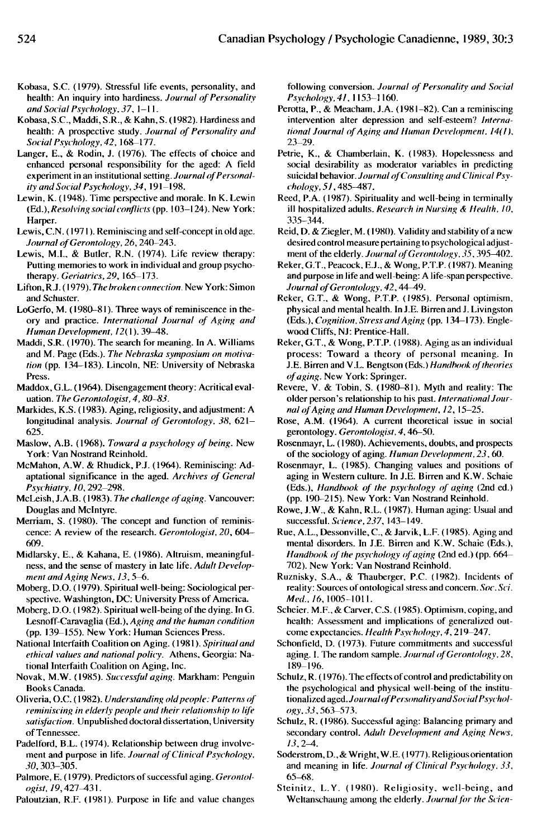- Kobasa, S.C. (1979). Stressful life events, personality, and health: An inquiry into hardiness. *Journal of Personality and Social Psychology, 37,* 1-11.
- Kobasa, S.C, Maddi, S.R., & Kahn, S. (1982). Hardiness and health: A prospective study. *Journal of Personalitv and Social Psychology, 42,* 168-177.
- Langer, E., & Rodin, J. (1976). The effects of choice and enhanced personal responsibility for the aged: A field experiment in an institutional setting. *Journal of Personality and Social Psychology. 34,* 191-198.
- Lewin, K. (1948). Time perspective and morale. In K. Lewin (Ed.), *Resolving social conflicts* (pp. 103-124). New York: Harper.
- Lewis, C.N. (1971). Reminiscing and self-concept in old age. *Journal of Gerontology, 26,*240-243.
- Lewis, M.I., & Butler, R.N. (1974). Life review therapy: Putting memories to work in individual and group psychotherapy. *Geriatrics,29,* 165-173.
- Lifton, R.J. (1979). *The broken connection.* New York: Simon and Schuster.
- LoGerfo, M. (1980-81). Three ways of reminiscence in theory and practice. *International Journal of Aging and Human Development, I2(\).* 39-48.
- Maddi, S.R. (1970). The search for meaning. In A. Williams and M. Page (Eds.). *The Nebraska symposium on motivation* (pp. 134-183). Lincoln, NE: University of Nebraska Press.
- Maddox, G.L. (1964). Disengagement theory: Acritical evaluation. *The Gerontologist, 4,80—83.*
- Markides, K.S. (1983). Aging, religiosity, and adjustment: A longitudinal analysis. *Journal of Gerontology, 38,* 621— 625.
- Maslow, A.B. (1968). *Toward a psychology of being.* New York: Van Nostrand Reinhold.
- McMahon, A.W. & Rhudick, P.J. (1964). Reminiscing: Adaptational significance in the aged. *Archives of General Psychiatry, 10,*292-298.
- McLeish, J.A.B. (1983). *The challenge of aging.* Vancouver: Douglas and Mclntyre.
- Merriam, S. (1980). The concept and function of reminiscence: A review of the research. *Gerontologist, 20,* 604- 609.
- Midlarsky, E., & Kahana, E. (1986). Altruism, meaningfulness, and the sense of mastery in late life. *Adult Development and Aging News, 13,*5-6.
- Moberg, D.O. (1979). Spiritual well-being: Sociological perspective. Washington, DC: University Press of America.
- Moberg, D.O. (1982). Spiritual well-being of the dying. In G. Lesnoff-Caravaglia (Ed.), *Aging and the human condition* (pp. 139-155). New York: Human Sciences Press.
- National Interfaith Coalition on Aging. (1981). *Spiritual and ethical values and national policy.* Athens, Georgia: National Interfaith Coalition on Aging, Inc.
- Novak, M.W. (1985). *Successful aging.* Markham: Penguin Books Canada.
- Oliveria, O.C. (1982). *Understanding old people: Patterns of reminiscing in elderly people and their relationship to life satisfaction.* Unpublished doctoral dissertation, University of Tennessee.
- Padelford, B.L. (1974). Relationship between drug involvement and purpose in life. *Journal of Clinical Psychology. 30,*303-305.
- Palmore, E. (1979). Predictors of successful aging. *Gerontologist.* 79,427^131.
- Paloutzian, R.F. (1981). Purpose in life and value changes

following conversion. *Journal of Personality and Social Psychology, 41,* 1153-1160.

- Perotta, P., & Meacham, J.A. (1981-82). Can a reminiscing intervention alter depression and self-esteem? *International Journal of Aging and Human Development. 14(1),* 23-29.
- Petrie, K., & Chamberlain, K. (1983). Hopelessness and social desirability as moderator variables in predicting suicidal behavior. *Journal ofConsulting and Clinical Psychology, 51*,485-487.
- Reed, P.A. (1987). Spirituality and well-being in terminally ill hospitalized adults. *Research in Nursing & Health, 10,* 335\_344.
- Reid, D. & Ziegler, M. (1980). Validity and stability of a new desired control measure pertaining to psychological adjustment of the elderly. *Journal of Gerontology, 35,*395^\*02.
- Reker, G.T., Peacock, E.J., & Wong, P.T.P. (J987). Meaning and purpose in life and well-being: A life-span perspective. *Journal of Gerontology, 42,*44—49.
- Reker, G.T., & Wong, P.T.P. (1985). Personal optimism, physical and mental health. In J.E. Birren and J. Livingston (Eds.), *Cognition, Stress and Aging* (pp. 134—173). Englewood Cliffs, NJ: Prentice-Hall.
- Reker, G.T., & Wong, P.T.P. (1988). Aging as an individual process: Toward a theory of personal meaning. In J.E. Birren and V.L. Bengtson (Eds.) *Handbook of theories of aging.* New York: Springer.
- Revere, V. & Tobin, S. (1980-81). Myth and reality: The older person's relationship to his past. *International Journal of Aging and Human Development, 12,* 15-25.
- Rose, A.M. (1964). A current theoretical issue in social gerontology. *Gerontologist, 4,*46-50.
- Rosenmayr, L. (1980). Achievements, doubts, and prospects of the sociology of aging. *Human Development, 23,*60.
- Rosenmayr, L. (1985). Changing values and positions of aging in Western culture. In J.E. Birren and K.W. Schaie (Eds.), *Handbook of the psychology of aging* (2nd ed.) (pp. 190-215). New York: Van Nostrand Reinhold.
- Rowe, J.W., & Kahn, R.L. (1987). Human aging: Usual and successful. *Science, 237,* 143-149.
- Rue, A.L., Dessonville, C, & Jarvik, L.F. (1985). Aging and mental disorders. In J.E. Birren and K.W. Schaie (Eds.), *Handbook of the psychology of aging* (2nd ed.) (pp. 664- 702). New York: Van Nostrand Reinhold.
- Ruznisky, S.A., & Thauberger, P.C. (1982). Incidents of reality: Sources of ontological stress and concern. *Soc. Sci. Med.,16,*1005-1011.
- Scheier. M.F., & Carver, C.S. (1985). Optimism, coping, and health: Assessment and implications of generalized outcome expectancies. *Health Psychology,* 4,219-247.
- Schonfield, D. (1973). Future commitments and successful aging. I. The random sample. *Journal of Gerontology. 28,* 189-196.
- Schulz, R. (1976). The effects of control and predictability on the psychological and physical well-being of the institutionalizcd aged. *Journal of Personality an d Social Psychology. 33,563-573.*
- Schulz, R. (1986). Successful aging: Balancing primary and secondary control. *Adult Development and Aging News, 13,2-4.*
- Soderstrom, D., & Wright, W.E. (1977). Religious orientation and meaning in life. *Journal of Clinical Psychology. 33,* 65-68.
- Steinitz, L.Y. (1980). Religiosity, well-being, and Weltanschaung among the elderly. *Journal for the Scien-*